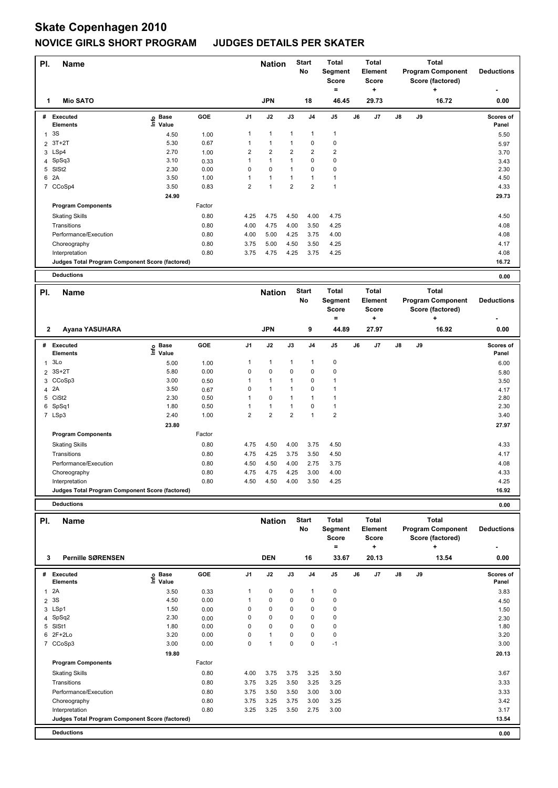| PI.            | <b>Name</b>                                     |                              |        |                | <b>Nation</b>  |                | <b>Start</b><br>No | Total<br>Segment<br>Score<br>٠ |    | Total<br>Element<br><b>Score</b><br>٠ |               |    | <b>Total</b><br><b>Program Component</b><br>Score (factored)<br>٠ | <b>Deductions</b>  |
|----------------|-------------------------------------------------|------------------------------|--------|----------------|----------------|----------------|--------------------|--------------------------------|----|---------------------------------------|---------------|----|-------------------------------------------------------------------|--------------------|
| 1              | <b>Mio SATO</b>                                 |                              |        |                | <b>JPN</b>     |                | 18                 | 46.45                          |    | 29.73                                 |               |    | 16.72                                                             | 0.00               |
| #              | Executed<br><b>Elements</b>                     | <b>Base</b><br>١nfo<br>Value | GOE    | J <sub>1</sub> | J2             | J3             | J <sub>4</sub>     | J <sub>5</sub>                 | J6 | J7                                    | $\mathsf{J}8$ | J9 |                                                                   | Scores of<br>Panel |
|                | 3S                                              | 4.50                         | 1.00   | 1              | $\overline{1}$ | 1              |                    | 1                              |    |                                       |               |    |                                                                   | 5.50               |
| $\overline{2}$ | $3T+2T$                                         | 5.30                         | 0.67   |                | $\mathbf{1}$   |                | 0                  | 0                              |    |                                       |               |    |                                                                   | 5.97               |
|                | 3 LSp4                                          | 2.70                         | 1.00   | 2              | $\overline{2}$ | $\overline{2}$ | $\overline{2}$     | $\overline{\mathbf{c}}$        |    |                                       |               |    |                                                                   | 3.70               |
|                | 4 SpSq3                                         | 3.10                         | 0.33   |                | $\mathbf{1}$   |                | 0                  | 0                              |    |                                       |               |    |                                                                   | 3.43               |
|                | 5 SISt2                                         | 2.30                         | 0.00   | 0              | 0              |                | 0                  | 0                              |    |                                       |               |    |                                                                   | 2.30               |
| 6              | 2A                                              | 3.50                         | 1.00   |                | $\overline{1}$ |                |                    |                                |    |                                       |               |    |                                                                   | 4.50               |
|                | 7 CCoSp4                                        | 3.50                         | 0.83   | $\overline{2}$ | $\overline{1}$ | $\overline{2}$ | $\overline{2}$     | 1                              |    |                                       |               |    |                                                                   | 4.33               |
|                |                                                 | 24.90                        |        |                |                |                |                    |                                |    |                                       |               |    |                                                                   | 29.73              |
|                | <b>Program Components</b>                       |                              | Factor |                |                |                |                    |                                |    |                                       |               |    |                                                                   |                    |
|                | <b>Skating Skills</b>                           |                              | 0.80   | 4.25           | 4.75           | 4.50           | 4.00               | 4.75                           |    |                                       |               |    |                                                                   | 4.50               |
|                | Transitions                                     |                              | 0.80   | 4.00           | 4.75           | 4.00           | 3.50               | 4.25                           |    |                                       |               |    |                                                                   | 4.08               |
|                | Performance/Execution                           |                              | 0.80   | 4.00           | 5.00           | 4.25           | 3.75               | 4.00                           |    |                                       |               |    |                                                                   | 4.08               |
|                | Choreography                                    |                              | 0.80   | 3.75           | 5.00           | 4.50           | 3.50               | 4.25                           |    |                                       |               |    |                                                                   | 4.17               |
|                | Interpretation                                  |                              | 0.80   | 3.75           | 4.75           | 4.25           | 3.75               | 4.25                           |    |                                       |               |    |                                                                   | 4.08               |
|                | Judges Total Program Component Score (factored) |                              |        |                |                |                |                    |                                |    |                                       |               |    |                                                                   | 16.72              |
|                | <b>Deductions</b>                               |                              |        |                |                |                |                    |                                |    |                                       |               |    |                                                                   | 0.00               |

| PI.            | Name                                            |                       |        |                | <b>Nation</b>           |                | <b>Start</b><br>No | <b>Total</b><br>Segment<br><b>Score</b><br>$\equiv$ |    | Total<br>Element<br><b>Score</b><br>÷ |               |    | <b>Total</b><br><b>Program Component</b><br>Score (factored)<br>٠ | <b>Deductions</b>         |
|----------------|-------------------------------------------------|-----------------------|--------|----------------|-------------------------|----------------|--------------------|-----------------------------------------------------|----|---------------------------------------|---------------|----|-------------------------------------------------------------------|---------------------------|
| $\mathbf{2}$   | Ayana YASUHARA                                  |                       |        |                | <b>JPN</b>              |                | 9                  | 44.89                                               |    | 27.97                                 |               |    | 16.92                                                             | 0.00                      |
| #              | <b>Executed</b><br><b>Elements</b>              | Base<br>lnfo<br>Value | GOE    | J <sub>1</sub> | J2                      | J3             | J <sub>4</sub>     | J <sub>5</sub>                                      | J6 | J <sub>7</sub>                        | $\mathsf{J}8$ | J9 |                                                                   | <b>Scores of</b><br>Panel |
| 1              | 3Lo                                             | 5.00                  | 1.00   | 1              | 1                       | $\mathbf{1}$   | 1                  | 0                                                   |    |                                       |               |    |                                                                   | 6.00                      |
| $\overline{2}$ | 3S+2T                                           | 5.80                  | 0.00   | 0              | 0                       | 0              | 0                  | $\mathbf 0$                                         |    |                                       |               |    |                                                                   | 5.80                      |
|                | 3 CCoSp3                                        | 3.00                  | 0.50   |                | 1                       | $\mathbf{1}$   | 0                  | 1                                                   |    |                                       |               |    |                                                                   | 3.50                      |
|                | 4 2A                                            | 3.50                  | 0.67   | $\Omega$       | 1                       | $\overline{1}$ | $\Omega$           |                                                     |    |                                       |               |    |                                                                   | 4.17                      |
|                | 5 CiSt2                                         | 2.30                  | 0.50   |                | 0                       | $\mathbf 1$    |                    |                                                     |    |                                       |               |    |                                                                   | 2.80                      |
| 6              | SpSq1                                           | 1.80                  | 0.50   |                | 1                       | $\mathbf 1$    | $\Omega$           | 1                                                   |    |                                       |               |    |                                                                   | 2.30                      |
|                | 7 LSp3                                          | 2.40                  | 1.00   | 2              | $\overline{\mathbf{c}}$ | $\overline{2}$ |                    | $\overline{\mathbf{c}}$                             |    |                                       |               |    |                                                                   | 3.40                      |
|                |                                                 | 23.80                 |        |                |                         |                |                    |                                                     |    |                                       |               |    |                                                                   | 27.97                     |
|                | <b>Program Components</b>                       |                       | Factor |                |                         |                |                    |                                                     |    |                                       |               |    |                                                                   |                           |
|                | <b>Skating Skills</b>                           |                       | 0.80   | 4.75           | 4.50                    | 4.00           | 3.75               | 4.50                                                |    |                                       |               |    |                                                                   | 4.33                      |
|                | Transitions                                     |                       | 0.80   | 4.75           | 4.25                    | 3.75           | 3.50               | 4.50                                                |    |                                       |               |    |                                                                   | 4.17                      |
|                | Performance/Execution                           |                       | 0.80   | 4.50           | 4.50                    | 4.00           | 2.75               | 3.75                                                |    |                                       |               |    |                                                                   | 4.08                      |
|                | Choreography                                    |                       | 0.80   | 4.75           | 4.75                    | 4.25           | 3.00               | 4.00                                                |    |                                       |               |    |                                                                   | 4.33                      |
|                | Interpretation                                  |                       | 0.80   | 4.50           | 4.50                    | 4.00           | 3.50               | 4.25                                                |    |                                       |               |    |                                                                   | 4.25                      |
|                | Judges Total Program Component Score (factored) |                       |        |                |                         |                |                    |                                                     |    |                                       |               |    |                                                                   | 16.92                     |

|          | <b>Deductions</b>                               |             |        |          |                             |             |                                 |                                                              |    |                                                       |               |    |                                                                            | 0.00                      |
|----------|-------------------------------------------------|-------------|--------|----------|-----------------------------|-------------|---------------------------------|--------------------------------------------------------------|----|-------------------------------------------------------|---------------|----|----------------------------------------------------------------------------|---------------------------|
| PI.<br>3 | <b>Name</b><br><b>Pernille SØRENSEN</b>         |             |        |          | <b>Nation</b><br><b>DEN</b> |             | <b>Start</b><br><b>No</b><br>16 | <b>Total</b><br>Segment<br><b>Score</b><br>$\equiv$<br>33.67 |    | <b>Total</b><br>Element<br><b>Score</b><br>٠<br>20.13 |               |    | <b>Total</b><br><b>Program Component</b><br>Score (factored)<br>÷<br>13.54 | <b>Deductions</b><br>0.00 |
|          | # Executed                                      | <b>Base</b> | GOE    | J1       | J2                          | J3          | J <sub>4</sub>                  | J <sub>5</sub>                                               | J6 | J7                                                    | $\mathsf{J}8$ | J9 |                                                                            | Scores of                 |
|          | <b>Elements</b>                                 | ۴ů<br>Value |        |          |                             |             |                                 |                                                              |    |                                                       |               |    |                                                                            | Panel                     |
| 1        | 2A                                              | 3.50        | 0.33   | 1        | 0                           | 0           | 1                               | 0                                                            |    |                                                       |               |    |                                                                            | 3.83                      |
|          | 2 3 S                                           | 4.50        | 0.00   |          | 0                           | 0           | 0                               | 0                                                            |    |                                                       |               |    |                                                                            | 4.50                      |
| 3        | LSp1                                            | 1.50        | 0.00   | 0        | $\mathbf 0$                 | 0           | $\pmb{0}$                       | 0                                                            |    |                                                       |               |    |                                                                            | 1.50                      |
|          | 4 SpSq2                                         | 2.30        | 0.00   | 0        | 0                           | 0           | 0                               | 0                                                            |    |                                                       |               |    |                                                                            | 2.30                      |
| 5        | SISt1                                           | 1.80        | 0.00   | 0        | $\mathbf 0$                 | 0           | 0                               | 0                                                            |    |                                                       |               |    |                                                                            | 1.80                      |
|          | 6 2F+2Lo                                        | 3.20        | 0.00   | $\Omega$ | $\mathbf{1}$                | $\Omega$    | $\mathbf 0$                     | $\mathbf 0$                                                  |    |                                                       |               |    |                                                                            | 3.20                      |
|          | 7 CCoSp3                                        | 3.00        | 0.00   | 0        | 1                           | $\mathbf 0$ | $\mathbf 0$                     | $-1$                                                         |    |                                                       |               |    |                                                                            | 3.00                      |
|          |                                                 | 19.80       |        |          |                             |             |                                 |                                                              |    |                                                       |               |    |                                                                            | 20.13                     |
|          | <b>Program Components</b>                       |             | Factor |          |                             |             |                                 |                                                              |    |                                                       |               |    |                                                                            |                           |
|          | <b>Skating Skills</b>                           |             | 0.80   | 4.00     | 3.75                        | 3.75        | 3.25                            | 3.50                                                         |    |                                                       |               |    |                                                                            | 3.67                      |
|          | Transitions                                     |             | 0.80   | 3.75     | 3.25                        | 3.50        | 3.25                            | 3.25                                                         |    |                                                       |               |    |                                                                            | 3.33                      |
|          | Performance/Execution                           |             | 0.80   | 3.75     | 3.50                        | 3.50        | 3.00                            | 3.00                                                         |    |                                                       |               |    |                                                                            | 3.33                      |
|          | Choreography                                    |             | 0.80   | 3.75     | 3.25                        | 3.75        | 3.00                            | 3.25                                                         |    |                                                       |               |    |                                                                            | 3.42                      |
|          | Interpretation                                  |             | 0.80   | 3.25     | 3.25                        | 3.50        | 2.75                            | 3.00                                                         |    |                                                       |               |    |                                                                            | 3.17                      |
|          | Judges Total Program Component Score (factored) |             |        |          |                             |             |                                 |                                                              |    |                                                       |               |    |                                                                            | 13.54                     |
|          | <b>Deductions</b>                               |             |        |          |                             |             |                                 |                                                              |    |                                                       |               |    |                                                                            | 0.00                      |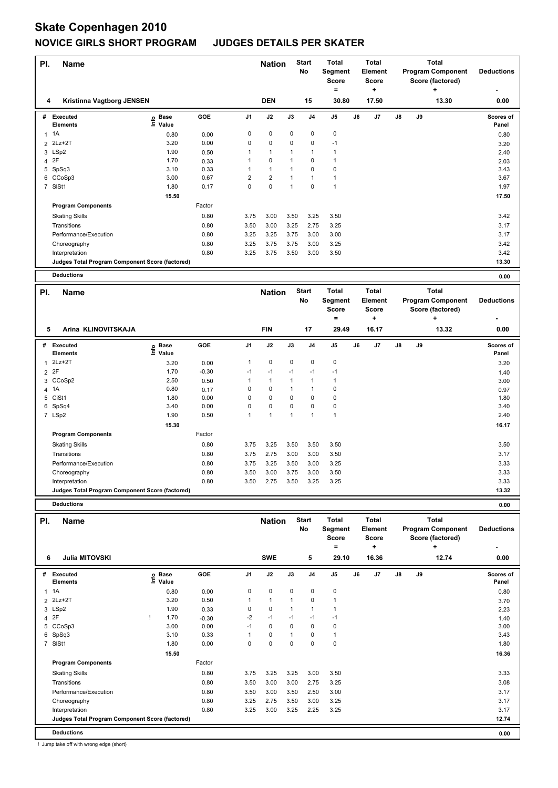| PI.            | <b>Name</b>                                     |                              |        |                | <b>Nation</b>  |             | <b>Start</b><br>No | Total<br>Segment<br><b>Score</b><br>٠ |    | Total<br>Element<br><b>Score</b><br>٠ |    |    | <b>Total</b><br><b>Program Component</b><br>Score (factored)<br>٠ | <b>Deductions</b>         |
|----------------|-------------------------------------------------|------------------------------|--------|----------------|----------------|-------------|--------------------|---------------------------------------|----|---------------------------------------|----|----|-------------------------------------------------------------------|---------------------------|
| 4              | Kristinna Vagtborg JENSEN                       |                              |        |                | <b>DEN</b>     |             | 15                 | 30.80                                 |    | 17.50                                 |    |    | 13.30                                                             | 0.00                      |
| #              | Executed<br><b>Elements</b>                     | <b>Base</b><br>١nfo<br>Value | GOE    | J <sub>1</sub> | J2             | J3          | J <sub>4</sub>     | J <sub>5</sub>                        | J6 | J <sub>7</sub>                        | J8 | J9 |                                                                   | <b>Scores of</b><br>Panel |
|                | 1A                                              | 0.80                         | 0.00   | 0              | $\mathbf 0$    | $\mathbf 0$ | 0                  | $\mathbf 0$                           |    |                                       |    |    |                                                                   | 0.80                      |
|                | 2 2Lz+2T                                        | 3.20                         | 0.00   | 0              | $\pmb{0}$      | 0           | 0                  | $-1$                                  |    |                                       |    |    |                                                                   | 3.20                      |
|                | 3 LSp2                                          | 1.90                         | 0.50   |                |                |             |                    |                                       |    |                                       |    |    |                                                                   | 2.40                      |
|                | 4 2F                                            | 1.70                         | 0.33   |                | $\mathbf 0$    |             | 0                  |                                       |    |                                       |    |    |                                                                   | 2.03                      |
|                | 5 SpSq3                                         | 3.10                         | 0.33   |                | $\mathbf{1}$   |             | 0                  | 0                                     |    |                                       |    |    |                                                                   | 3.43                      |
|                | 6 CCoSp3                                        | 3.00                         | 0.67   | $\overline{2}$ | $\overline{2}$ |             |                    |                                       |    |                                       |    |    |                                                                   | 3.67                      |
| $\overline{7}$ | SISt1                                           | 1.80                         | 0.17   | 0              | $\mathbf 0$    | 1           | 0                  | $\overline{1}$                        |    |                                       |    |    |                                                                   | 1.97                      |
|                |                                                 | 15.50                        |        |                |                |             |                    |                                       |    |                                       |    |    |                                                                   | 17.50                     |
|                | <b>Program Components</b>                       |                              | Factor |                |                |             |                    |                                       |    |                                       |    |    |                                                                   |                           |
|                | <b>Skating Skills</b>                           |                              | 0.80   | 3.75           | 3.00           | 3.50        | 3.25               | 3.50                                  |    |                                       |    |    |                                                                   | 3.42                      |
|                | Transitions                                     |                              | 0.80   | 3.50           | 3.00           | 3.25        | 2.75               | 3.25                                  |    |                                       |    |    |                                                                   | 3.17                      |
|                | Performance/Execution                           |                              | 0.80   | 3.25           | 3.25           | 3.75        | 3.00               | 3.00                                  |    |                                       |    |    |                                                                   | 3.17                      |
|                | Choreography                                    |                              | 0.80   | 3.25           | 3.75           | 3.75        | 3.00               | 3.25                                  |    |                                       |    |    |                                                                   | 3.42                      |
|                | Interpretation                                  |                              | 0.80   | 3.25           | 3.75           | 3.50        | 3.00               | 3.50                                  |    |                                       |    |    |                                                                   | 3.42                      |
|                | Judges Total Program Component Score (factored) |                              |        |                |                |             |                    |                                       |    |                                       |    |    |                                                                   | 13.30                     |
|                | <b>Deductions</b>                               |                              |        |                |                |             |                    |                                       |    |                                       |    |    |                                                                   | 0.00                      |

| PI. | <b>Name</b>                                     |                              |         |                | <b>Nation</b> |              | <b>Start</b><br>No      | <b>Total</b><br>Segment<br><b>Score</b><br>$=$ |    | <b>Total</b><br><b>Element</b><br><b>Score</b><br>÷ |               |    | <b>Total</b><br><b>Program Component</b><br>Score (factored)<br>÷ | <b>Deductions</b>         |
|-----|-------------------------------------------------|------------------------------|---------|----------------|---------------|--------------|-------------------------|------------------------------------------------|----|-----------------------------------------------------|---------------|----|-------------------------------------------------------------------|---------------------------|
| 5   | Arina KLINOVITSKAJA                             |                              |         |                | <b>FIN</b>    |              | 17                      | 29.49                                          |    | 16.17                                               |               |    | 13.32                                                             | 0.00                      |
| #   | <b>Executed</b><br><b>Elements</b>              | <b>Base</b><br>١nf٥<br>Value | GOE     | J <sub>1</sub> | J2            | J3           | J <sub>4</sub>          | J <sub>5</sub>                                 | J6 | J <sub>7</sub>                                      | $\mathsf{J}8$ | J9 |                                                                   | <b>Scores of</b><br>Panel |
| 1   | $2Lz+2T$                                        | 3.20                         | 0.00    | 1              | 0             | $\mathbf 0$  | 0                       | 0                                              |    |                                                     |               |    |                                                                   | 3.20                      |
|     | 2 2F                                            | 1.70                         | $-0.30$ | $-1$           | $-1$          | $-1$         | $-1$                    | $-1$                                           |    |                                                     |               |    |                                                                   | 1.40                      |
|     | 3 CCoSp2                                        | 2.50                         | 0.50    |                | 1             | $\mathbf 1$  |                         | 1                                              |    |                                                     |               |    |                                                                   | 3.00                      |
|     | 4 1A                                            | 0.80                         | 0.17    | 0              | 0             | 1            |                         | $\mathbf 0$                                    |    |                                                     |               |    |                                                                   | 0.97                      |
|     | 5 CiSt1                                         | 1.80                         | 0.00    | 0              | 0             | 0            | 0                       | 0                                              |    |                                                     |               |    |                                                                   | 1.80                      |
| 6   | SpSq4                                           | 3.40                         | 0.00    | 0              | 0             | $\Omega$     | 0                       | $\mathbf 0$                                    |    |                                                     |               |    |                                                                   | 3.40                      |
|     | 7 LSp2                                          | 1.90                         | 0.50    | 1              | 1             | $\mathbf{1}$ | $\overline{\mathbf{A}}$ | 1                                              |    |                                                     |               |    |                                                                   | 2.40                      |
|     |                                                 | 15.30                        |         |                |               |              |                         |                                                |    |                                                     |               |    |                                                                   | 16.17                     |
|     | <b>Program Components</b>                       |                              | Factor  |                |               |              |                         |                                                |    |                                                     |               |    |                                                                   |                           |
|     | <b>Skating Skills</b>                           |                              | 0.80    | 3.75           | 3.25          | 3.50         | 3.50                    | 3.50                                           |    |                                                     |               |    |                                                                   | 3.50                      |
|     | Transitions                                     |                              | 0.80    | 3.75           | 2.75          | 3.00         | 3.00                    | 3.50                                           |    |                                                     |               |    |                                                                   | 3.17                      |
|     | Performance/Execution                           |                              | 0.80    | 3.75           | 3.25          | 3.50         | 3.00                    | 3.25                                           |    |                                                     |               |    |                                                                   | 3.33                      |
|     | Choreography                                    |                              | 0.80    | 3.50           | 3.00          | 3.75         | 3.00                    | 3.50                                           |    |                                                     |               |    |                                                                   | 3.33                      |
|     | Interpretation                                  |                              | 0.80    | 3.50           | 2.75          | 3.50         | 3.25                    | 3.25                                           |    |                                                     |               |    |                                                                   | 3.33                      |
|     | Judges Total Program Component Score (factored) |                              |         |                |               |              |                         |                                                |    |                                                     |               |    |                                                                   | 13.32                     |

|              | <b>Deductions</b>                               |                            |         |                |               |             |                    |                                              |    |                                              |               |    |                                                                   | 0.00               |
|--------------|-------------------------------------------------|----------------------------|---------|----------------|---------------|-------------|--------------------|----------------------------------------------|----|----------------------------------------------|---------------|----|-------------------------------------------------------------------|--------------------|
| PI.          | <b>Name</b>                                     |                            |         |                | <b>Nation</b> |             | <b>Start</b><br>No | <b>Total</b><br>Segment<br><b>Score</b><br>= |    | <b>Total</b><br>Element<br><b>Score</b><br>٠ |               |    | <b>Total</b><br><b>Program Component</b><br>Score (factored)<br>÷ | <b>Deductions</b>  |
| 6            | <b>Julia MITOVSKI</b>                           |                            |         |                | <b>SWE</b>    |             | 5                  | 29.10                                        |    | 16.36                                        |               |    | 12.74                                                             | 0.00               |
| #            | Executed<br><b>Elements</b>                     | e Base<br>E Value<br>Value | GOE     | J <sub>1</sub> | J2            | J3          | J <sub>4</sub>     | J5                                           | J6 | J <sub>7</sub>                               | $\mathsf{J}8$ | J9 |                                                                   | Scores of<br>Panel |
| $\mathbf{1}$ | 1A                                              | 0.80                       | 0.00    | 0              | $\pmb{0}$     | $\mathbf 0$ | $\mathbf 0$        | $\pmb{0}$                                    |    |                                              |               |    |                                                                   | 0.80               |
|              | 2 2Lz+2T                                        | 3.20                       | 0.50    |                | $\mathbf{1}$  |             | 0                  | $\mathbf{1}$                                 |    |                                              |               |    |                                                                   | 3.70               |
|              | 3 LSp2                                          | 1.90                       | 0.33    | 0              | $\mathbf 0$   |             | $\mathbf{1}$       | 1                                            |    |                                              |               |    |                                                                   | 2.23               |
|              | 4 2F                                            | 1.70                       | $-0.30$ | $-2$           | $-1$          | $-1$        | $-1$               | $-1$                                         |    |                                              |               |    |                                                                   | 1.40               |
| 5            | CCoSp3                                          | 3.00                       | 0.00    | $-1$           | 0             | 0           | 0                  | 0                                            |    |                                              |               |    |                                                                   | 3.00               |
| 6            | SpSq3                                           | 3.10                       | 0.33    |                | $\mathbf 0$   |             | 0                  | $\mathbf{1}$                                 |    |                                              |               |    |                                                                   | 3.43               |
|              | 7 SISt1                                         | 1.80                       | 0.00    | 0              | 0             | $\Omega$    | 0                  | 0                                            |    |                                              |               |    |                                                                   | 1.80               |
|              |                                                 | 15.50                      |         |                |               |             |                    |                                              |    |                                              |               |    |                                                                   | 16.36              |
|              | <b>Program Components</b>                       |                            | Factor  |                |               |             |                    |                                              |    |                                              |               |    |                                                                   |                    |
|              | <b>Skating Skills</b>                           |                            | 0.80    | 3.75           | 3.25          | 3.25        | 3.00               | 3.50                                         |    |                                              |               |    |                                                                   | 3.33               |
|              | Transitions                                     |                            | 0.80    | 3.50           | 3.00          | 3.00        | 2.75               | 3.25                                         |    |                                              |               |    |                                                                   | 3.08               |
|              | Performance/Execution                           |                            | 0.80    | 3.50           | 3.00          | 3.50        | 2.50               | 3.00                                         |    |                                              |               |    |                                                                   | 3.17               |
|              | Choreography                                    |                            | 0.80    | 3.25           | 2.75          | 3.50        | 3.00               | 3.25                                         |    |                                              |               |    |                                                                   | 3.17               |
|              | Interpretation                                  |                            | 0.80    | 3.25           | 3.00          | 3.25        | 2.25               | 3.25                                         |    |                                              |               |    |                                                                   | 3.17               |
|              | Judges Total Program Component Score (factored) |                            |         |                |               |             |                    |                                              |    |                                              |               |    |                                                                   | 12.74              |
|              | <b>Deductions</b>                               |                            |         |                |               |             |                    |                                              |    |                                              |               |    |                                                                   | 0.00               |

! Jump take off with wrong edge (short)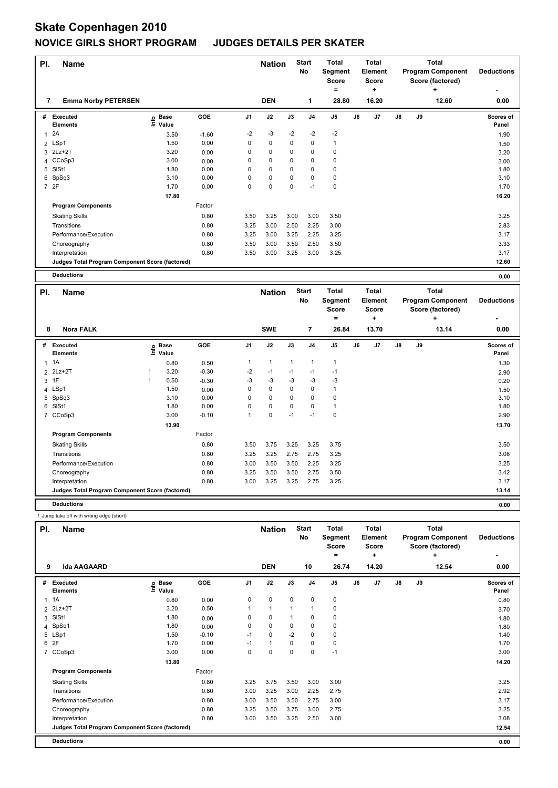| PI. | <b>Name</b>                                     |                              |         |                | <b>Nation</b> |             | <b>Start</b><br>No | <b>Total</b><br>Segment<br><b>Score</b><br>= |    | Total<br>Element<br>Score<br>٠ |               |    | <b>Total</b><br><b>Program Component</b><br>Score (factored)<br>٠ | <b>Deductions</b>  |
|-----|-------------------------------------------------|------------------------------|---------|----------------|---------------|-------------|--------------------|----------------------------------------------|----|--------------------------------|---------------|----|-------------------------------------------------------------------|--------------------|
| 7   | <b>Emma Norby PETERSEN</b>                      |                              |         |                | <b>DEN</b>    |             | 1                  | 28.80                                        |    | 16.20                          |               |    | 12.60                                                             | 0.00               |
| #   | Executed<br><b>Elements</b>                     | <b>Base</b><br>١nfo<br>Value | GOE     | J <sub>1</sub> | J2            | J3          | J <sub>4</sub>     | J5                                           | J6 | J7                             | $\mathsf{J}8$ | J9 |                                                                   | Scores of<br>Panel |
| 1   | 2A                                              | 3.50                         | $-1.60$ | $-2$           | $-3$          | $-2$        | $-2$               | $-2$                                         |    |                                |               |    |                                                                   | 1.90               |
|     | 2 LSp1                                          | 1.50                         | 0.00    | 0              | $\mathbf 0$   | $\mathbf 0$ | $\mathbf 0$        | $\mathbf{1}$                                 |    |                                |               |    |                                                                   | 1.50               |
|     | 3 2Lz+2T                                        | 3.20                         | 0.00    | 0              | $\mathbf 0$   | 0           | 0                  | 0                                            |    |                                |               |    |                                                                   | 3.20               |
|     | 4 CCoSp3                                        | 3.00                         | 0.00    | 0              | $\mathbf 0$   | 0           | 0                  | 0                                            |    |                                |               |    |                                                                   | 3.00               |
| 5   | SISt1                                           | 1.80                         | 0.00    | 0              | $\pmb{0}$     | 0           | 0                  | 0                                            |    |                                |               |    |                                                                   | 1.80               |
| 6   | SpSq3                                           | 3.10                         | 0.00    | 0              | 0             | 0           | 0                  | 0                                            |    |                                |               |    |                                                                   | 3.10               |
|     | 7 2F                                            | 1.70                         | 0.00    | 0              | 0             | 0           | $-1$               | $\pmb{0}$                                    |    |                                |               |    |                                                                   | 1.70               |
|     |                                                 | 17.80                        |         |                |               |             |                    |                                              |    |                                |               |    |                                                                   | 16.20              |
|     | <b>Program Components</b>                       |                              | Factor  |                |               |             |                    |                                              |    |                                |               |    |                                                                   |                    |
|     | <b>Skating Skills</b>                           |                              | 0.80    | 3.50           | 3.25          | 3.00        | 3.00               | 3.50                                         |    |                                |               |    |                                                                   | 3.25               |
|     | Transitions                                     |                              | 0.80    | 3.25           | 3.00          | 2.50        | 2.25               | 3.00                                         |    |                                |               |    |                                                                   | 2.83               |
|     | Performance/Execution                           |                              | 0.80    | 3.25           | 3.00          | 3.25        | 2.25               | 3.25                                         |    |                                |               |    |                                                                   | 3.17               |
|     | Choreography                                    |                              | 0.80    | 3.50           | 3.00          | 3.50        | 2.50               | 3.50                                         |    |                                |               |    |                                                                   | 3.33               |
|     | Interpretation                                  |                              | 0.80    | 3.50           | 3.00          | 3.25        | 3.00               | 3.25                                         |    |                                |               |    |                                                                   | 3.17               |
|     | Judges Total Program Component Score (factored) |                              |         |                |               |             |                    |                                              |    |                                |               |    |                                                                   | 12.60              |
|     | <b>Deductions</b>                               |                              |         |                |               |             |                    |                                              |    |                                |               |    |                                                                   | 0.00               |

| PI.            | <b>Name</b>                                     |      |                      |         | <b>Nation</b>  |              | <b>Start</b><br>No | <b>Total</b><br>Segment<br><b>Score</b><br>$=$ |                | <b>Total</b><br><b>Element</b><br><b>Score</b><br>÷ |                |               | Total<br><b>Program Component</b><br>Score (factored)<br>÷ | <b>Deductions</b> |                           |
|----------------|-------------------------------------------------|------|----------------------|---------|----------------|--------------|--------------------|------------------------------------------------|----------------|-----------------------------------------------------|----------------|---------------|------------------------------------------------------------|-------------------|---------------------------|
| 8              | <b>Nora FALK</b>                                |      |                      |         |                | <b>SWE</b>   |                    | 7                                              | 26.84          |                                                     | 13.70          |               |                                                            | 13.14             | 0.00                      |
| #              | Executed<br><b>Elements</b>                     | ١nfo | <b>Base</b><br>Value | GOE     | J <sub>1</sub> | J2           | J3                 | J <sub>4</sub>                                 | J <sub>5</sub> | J6                                                  | J <sub>7</sub> | $\mathsf{J}8$ | J9                                                         |                   | <b>Scores of</b><br>Panel |
| 1              | 1A                                              |      | 0.80                 | 0.50    | 1              | $\mathbf{1}$ | $\mathbf{1}$       | 1                                              | 1              |                                                     |                |               |                                                            |                   | 1.30                      |
|                | 2 2Lz+2T                                        |      | 3.20                 | $-0.30$ | $-2$           | $-1$         | $-1$               | $-1$                                           | $-1$           |                                                     |                |               |                                                            |                   | 2.90                      |
| 3              | 1F                                              |      | 0.50                 | $-0.30$ | $-3$           | $-3$         | $-3$               | $-3$                                           | $-3$           |                                                     |                |               |                                                            |                   | 0.20                      |
|                | 4 LSp1                                          |      | 1.50                 | 0.00    | 0              | $\mathbf 0$  | $\Omega$           | 0                                              | $\mathbf{1}$   |                                                     |                |               |                                                            |                   | 1.50                      |
| 5              | SpSq3                                           |      | 3.10                 | 0.00    | 0              | $\mathbf 0$  | $\Omega$           | $\mathbf 0$                                    | 0              |                                                     |                |               |                                                            |                   | 3.10                      |
| 6              | SISt1                                           |      | 1.80                 | 0.00    | 0              | $\mathbf 0$  | $\mathbf 0$        | $\mathbf 0$                                    | 1              |                                                     |                |               |                                                            |                   | 1.80                      |
| $\overline{7}$ | CCoSp3                                          |      | 3.00                 | $-0.10$ | 1              | $\mathbf 0$  | $-1$               | $-1$                                           | $\mathbf 0$    |                                                     |                |               |                                                            |                   | 2.90                      |
|                |                                                 |      | 13.90                |         |                |              |                    |                                                |                |                                                     |                |               |                                                            |                   | 13.70                     |
|                | <b>Program Components</b>                       |      |                      | Factor  |                |              |                    |                                                |                |                                                     |                |               |                                                            |                   |                           |
|                | <b>Skating Skills</b>                           |      |                      | 0.80    | 3.50           | 3.75         | 3.25               | 3.25                                           | 3.75           |                                                     |                |               |                                                            |                   | 3.50                      |
|                | Transitions                                     |      |                      | 0.80    | 3.25           | 3.25         | 2.75               | 2.75                                           | 3.25           |                                                     |                |               |                                                            |                   | 3.08                      |
|                | Performance/Execution                           |      |                      | 0.80    | 3.00           | 3.50         | 3.50               | 2.25                                           | 3.25           |                                                     |                |               |                                                            |                   | 3.25                      |
|                | Choreography                                    |      |                      | 0.80    | 3.25           | 3.50         | 3.50               | 2.75                                           | 3.50           |                                                     |                |               |                                                            |                   | 3.42                      |
|                | Interpretation                                  |      |                      | 0.80    | 3.00           | 3.25         | 3.25               | 2.75                                           | 3.25           |                                                     |                |               |                                                            |                   | 3.17                      |
|                | Judges Total Program Component Score (factored) |      |                      |         |                |              |                    |                                                |                |                                                     |                |               |                                                            |                   | 13.14                     |
|                | <b>Deductions</b>                               |      |                      |         |                |              |                    |                                                |                |                                                     |                |               |                                                            |                   | 0.00                      |

! Jump take off with wrong edge (short)

| PI. | <b>Name</b>                                     |                            |         |                | <b>Nation</b> |      | <b>Start</b><br><b>No</b> | <b>Total</b><br>Segment<br><b>Score</b><br>= |    | <b>Total</b><br>Element<br><b>Score</b><br>٠ |               |    | <b>Total</b><br><b>Program Component</b><br>Score (factored)<br>٠ | <b>Deductions</b>  |
|-----|-------------------------------------------------|----------------------------|---------|----------------|---------------|------|---------------------------|----------------------------------------------|----|----------------------------------------------|---------------|----|-------------------------------------------------------------------|--------------------|
| 9   | <b>Ida AAGAARD</b>                              |                            |         |                | <b>DEN</b>    |      | 10                        | 26.74                                        |    | 14.20                                        |               |    | 12.54                                                             | 0.00               |
| #   | Executed<br><b>Elements</b>                     | e Base<br>E Value<br>Value | GOE     | J <sub>1</sub> | J2            | J3   | J <sub>4</sub>            | J <sub>5</sub>                               | J6 | J7                                           | $\mathsf{J}8$ | J9 |                                                                   | Scores of<br>Panel |
|     | $1 \t1A$                                        | 0.80                       | 0.00    | 0              | $\pmb{0}$     | 0    | $\mathbf 0$               | $\pmb{0}$                                    |    |                                              |               |    |                                                                   | 0.80               |
|     | 2 2Lz+2T                                        | 3.20                       | 0.50    |                | $\mathbf{1}$  | 1    | $\mathbf{1}$              | $\pmb{0}$                                    |    |                                              |               |    |                                                                   | 3.70               |
| 3   | SISt1                                           | 1.80                       | 0.00    | 0              | 0             |      | 0                         | 0                                            |    |                                              |               |    |                                                                   | 1.80               |
| 4   | SpSq1                                           | 1.80                       | 0.00    | 0              | $\mathbf 0$   | 0    | 0                         | 0                                            |    |                                              |               |    |                                                                   | 1.80               |
|     | 5 LSp1                                          | 1.50                       | $-0.10$ | $-1$           | 0             | $-2$ | 0                         | 0                                            |    |                                              |               |    |                                                                   | 1.40               |
|     | 6 2F                                            | 1.70                       | 0.00    | $-1$           | $\mathbf{1}$  | 0    | 0                         | $\pmb{0}$                                    |    |                                              |               |    |                                                                   | 1.70               |
|     | 7 CCoSp3                                        | 3.00                       | 0.00    | 0              | $\mathbf 0$   | 0    | $\mathbf 0$               | $-1$                                         |    |                                              |               |    |                                                                   | 3.00               |
|     |                                                 | 13.80                      |         |                |               |      |                           |                                              |    |                                              |               |    |                                                                   | 14.20              |
|     | <b>Program Components</b>                       |                            | Factor  |                |               |      |                           |                                              |    |                                              |               |    |                                                                   |                    |
|     | <b>Skating Skills</b>                           |                            | 0.80    | 3.25           | 3.75          | 3.50 | 3.00                      | 3.00                                         |    |                                              |               |    |                                                                   | 3.25               |
|     | Transitions                                     |                            | 0.80    | 3.00           | 3.25          | 3.00 | 2.25                      | 2.75                                         |    |                                              |               |    |                                                                   | 2.92               |
|     | Performance/Execution                           |                            | 0.80    | 3.00           | 3.50          | 3.50 | 2.75                      | 3.00                                         |    |                                              |               |    |                                                                   | 3.17               |
|     | Choreography                                    |                            | 0.80    | 3.25           | 3.50          | 3.75 | 3.00                      | 2.75                                         |    |                                              |               |    |                                                                   | 3.25               |
|     | Interpretation                                  |                            | 0.80    | 3.00           | 3.50          | 3.25 | 2.50                      | 3.00                                         |    |                                              |               |    |                                                                   | 3.08               |
|     | Judges Total Program Component Score (factored) |                            |         |                |               |      |                           |                                              |    |                                              |               |    |                                                                   | 12.54              |
|     | <b>Deductions</b>                               |                            |         |                |               |      |                           |                                              |    |                                              |               |    |                                                                   | 0.00               |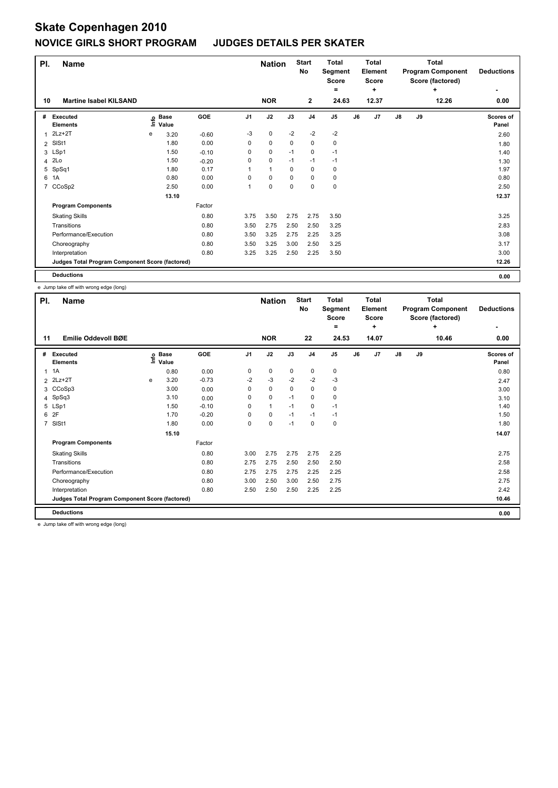| PI.            | <b>Name</b>                                     |   |                            |         |                | <b>Nation</b> |      | <b>Start</b><br>No | <b>Total</b><br>Segment<br><b>Score</b><br>$=$ |    | <b>Total</b><br>Element<br><b>Score</b><br>÷ |               |    | <b>Total</b><br><b>Program Component</b><br>Score (factored)<br>÷ | <b>Deductions</b>  |
|----------------|-------------------------------------------------|---|----------------------------|---------|----------------|---------------|------|--------------------|------------------------------------------------|----|----------------------------------------------|---------------|----|-------------------------------------------------------------------|--------------------|
| 10             | <b>Martine Isabel KILSAND</b>                   |   |                            |         |                | <b>NOR</b>    |      | $\mathbf{2}$       | 24.63                                          |    | 12.37                                        |               |    | 12.26                                                             | 0.00               |
| #              | Executed<br><b>Elements</b>                     |   | e Base<br>⊑ Value<br>Value | GOE     | J <sub>1</sub> | J2            | J3   | J4                 | J5                                             | J6 | J7                                           | $\mathsf{J}8$ | J9 |                                                                   | Scores of<br>Panel |
|                | $2Lz+2T$                                        | e | 3.20                       | $-0.60$ | $-3$           | 0             | $-2$ | $-2$               | $-2$                                           |    |                                              |               |    |                                                                   | 2.60               |
| $\overline{2}$ | SISt1                                           |   | 1.80                       | 0.00    | 0              | $\mathbf 0$   | 0    | 0                  | $\mathbf 0$                                    |    |                                              |               |    |                                                                   | 1.80               |
|                | 3 LSp1                                          |   | 1.50                       | $-0.10$ | 0              | 0             | $-1$ | 0                  | $-1$                                           |    |                                              |               |    |                                                                   | 1.40               |
|                | 4 2Lo                                           |   | 1.50                       | $-0.20$ | 0              | 0             | $-1$ | $-1$               | $-1$                                           |    |                                              |               |    |                                                                   | 1.30               |
|                | 5 SpSq1                                         |   | 1.80                       | 0.17    | 1              | $\mathbf{1}$  | 0    | 0                  | 0                                              |    |                                              |               |    |                                                                   | 1.97               |
| 6              | 1A                                              |   | 0.80                       | 0.00    | $\Omega$       | $\mathbf 0$   | 0    | 0                  | 0                                              |    |                                              |               |    |                                                                   | 0.80               |
|                | 7 CCoSp2                                        |   | 2.50                       | 0.00    | 1              | 0             | 0    | 0                  | $\mathbf 0$                                    |    |                                              |               |    |                                                                   | 2.50               |
|                |                                                 |   | 13.10                      |         |                |               |      |                    |                                                |    |                                              |               |    |                                                                   | 12.37              |
|                | <b>Program Components</b>                       |   |                            | Factor  |                |               |      |                    |                                                |    |                                              |               |    |                                                                   |                    |
|                | <b>Skating Skills</b>                           |   |                            | 0.80    | 3.75           | 3.50          | 2.75 | 2.75               | 3.50                                           |    |                                              |               |    |                                                                   | 3.25               |
|                | Transitions                                     |   |                            | 0.80    | 3.50           | 2.75          | 2.50 | 2.50               | 3.25                                           |    |                                              |               |    |                                                                   | 2.83               |
|                | Performance/Execution                           |   |                            | 0.80    | 3.50           | 3.25          | 2.75 | 2.25               | 3.25                                           |    |                                              |               |    |                                                                   | 3.08               |
|                | Choreography                                    |   |                            | 0.80    | 3.50           | 3.25          | 3.00 | 2.50               | 3.25                                           |    |                                              |               |    |                                                                   | 3.17               |
|                | Interpretation                                  |   |                            | 0.80    | 3.25           | 3.25          | 2.50 | 2.25               | 3.50                                           |    |                                              |               |    |                                                                   | 3.00               |
|                | Judges Total Program Component Score (factored) |   |                            |         |                |               |      |                    |                                                |    |                                              |               |    |                                                                   | 12.26              |
|                | <b>Deductions</b>                               |   |                            |         |                |               |      |                    |                                                |    |                                              |               |    |                                                                   | 0.00               |

e Jump take off with wrong edge (long)

| PI. | <b>Name</b>                                     |   |                                  |         |                | <b>Nation</b> |          | <b>Start</b><br>No | <b>Total</b><br>Segment<br><b>Score</b><br>۰ |    | <b>Total</b><br>Element<br><b>Score</b><br>÷ | <b>Total</b><br><b>Program Component</b><br>Score (factored)<br>٠<br>10.46 |    |  | <b>Deductions</b>  |
|-----|-------------------------------------------------|---|----------------------------------|---------|----------------|---------------|----------|--------------------|----------------------------------------------|----|----------------------------------------------|----------------------------------------------------------------------------|----|--|--------------------|
| 11  | Emilie Oddevoll BØE                             |   |                                  |         |                | <b>NOR</b>    |          | 22                 | 24.53                                        |    | 14.07                                        |                                                                            |    |  | 0.00               |
| #   | Executed<br><b>Elements</b>                     |   | <b>Base</b><br>e Base<br>⊆ Value | GOE     | J <sub>1</sub> | J2            | J3       | J <sub>4</sub>     | J <sub>5</sub>                               | J6 | J7                                           | $\mathsf{J}8$                                                              | J9 |  | Scores of<br>Panel |
|     | $1 \t1A$                                        |   | 0.80                             | 0.00    | 0              | $\mathbf 0$   | 0        | 0                  | 0                                            |    |                                              |                                                                            |    |  | 0.80               |
|     | 2 2Lz+2T                                        | e | 3.20                             | $-0.73$ | $-2$           | $-3$          | $-2$     | $-2$               | $-3$                                         |    |                                              |                                                                            |    |  | 2.47               |
|     | 3 CCoSp3                                        |   | 3.00                             | 0.00    | 0              | $\mathbf 0$   | $\Omega$ | 0                  | 0                                            |    |                                              |                                                                            |    |  | 3.00               |
|     | 4 SpSq3                                         |   | 3.10                             | 0.00    | 0              | $\mathbf 0$   | $-1$     | 0                  | 0                                            |    |                                              |                                                                            |    |  | 3.10               |
| 5   | LSp1                                            |   | 1.50                             | $-0.10$ | 0              | $\mathbf{1}$  | $-1$     | 0                  | $-1$                                         |    |                                              |                                                                            |    |  | 1.40               |
| 6   | 2F                                              |   | 1.70                             | $-0.20$ | 0              | 0             | $-1$     | $-1$               | $-1$                                         |    |                                              |                                                                            |    |  | 1.50               |
| 7   | SISt1                                           |   | 1.80                             | 0.00    | 0              | 0             | $-1$     | 0                  | $\mathbf 0$                                  |    |                                              |                                                                            |    |  | 1.80               |
|     |                                                 |   | 15.10                            |         |                |               |          |                    |                                              |    |                                              |                                                                            |    |  | 14.07              |
|     | <b>Program Components</b>                       |   |                                  | Factor  |                |               |          |                    |                                              |    |                                              |                                                                            |    |  |                    |
|     | <b>Skating Skills</b>                           |   |                                  | 0.80    | 3.00           | 2.75          | 2.75     | 2.75               | 2.25                                         |    |                                              |                                                                            |    |  | 2.75               |
|     | Transitions                                     |   |                                  | 0.80    | 2.75           | 2.75          | 2.50     | 2.50               | 2.50                                         |    |                                              |                                                                            |    |  | 2.58               |
|     | Performance/Execution                           |   |                                  | 0.80    | 2.75           | 2.75          | 2.75     | 2.25               | 2.25                                         |    |                                              |                                                                            |    |  | 2.58               |
|     | Choreography                                    |   |                                  | 0.80    | 3.00           | 2.50          | 3.00     | 2.50               | 2.75                                         |    |                                              |                                                                            |    |  | 2.75               |
|     | Interpretation                                  |   |                                  | 0.80    | 2.50           | 2.50          | 2.50     | 2.25               | 2.25                                         |    |                                              |                                                                            |    |  | 2.42               |
|     | Judges Total Program Component Score (factored) |   |                                  |         |                |               |          |                    |                                              |    |                                              |                                                                            |    |  | 10.46              |
|     | <b>Deductions</b>                               |   |                                  |         |                |               |          |                    |                                              |    |                                              |                                                                            |    |  | 0.00               |

e Jump take off with wrong edge (long)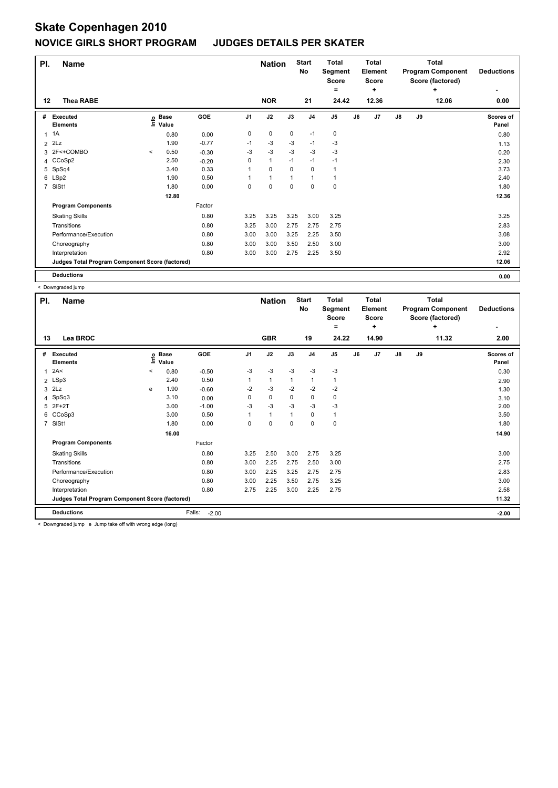| PI.            | Name                                            |         |                      |         |                | <b>Nation</b> |      | <b>Start</b><br>No | <b>Total</b><br>Segment<br><b>Score</b><br>۰ |    | <b>Total</b><br>Element<br><b>Score</b><br>٠ |               |    | <b>Total</b><br><b>Program Component</b><br>Score (factored)<br>÷ | <b>Deductions</b>  |
|----------------|-------------------------------------------------|---------|----------------------|---------|----------------|---------------|------|--------------------|----------------------------------------------|----|----------------------------------------------|---------------|----|-------------------------------------------------------------------|--------------------|
| 12             | <b>Thea RABE</b>                                |         |                      |         |                | <b>NOR</b>    |      | 21                 | 24.42                                        |    | 12.36                                        |               |    | 12.06                                                             | 0.00               |
| #              | Executed<br><b>Elements</b>                     | ۴٥      | <b>Base</b><br>Value | GOE     | J <sub>1</sub> | J2            | J3   | J <sub>4</sub>     | J <sub>5</sub>                               | J6 | J7                                           | $\mathsf{J}8$ | J9 |                                                                   | Scores of<br>Panel |
|                | $1 \t1A$                                        |         | 0.80                 | 0.00    | 0              | 0             | 0    | $-1$               | 0                                            |    |                                              |               |    |                                                                   | 0.80               |
|                | $2$ $2Lz$                                       |         | 1.90                 | $-0.77$ | $-1$           | $-3$          | $-3$ | $-1$               | $-3$                                         |    |                                              |               |    |                                                                   | 1.13               |
|                | 3 2F<+COMBO                                     | $\,<\,$ | 0.50                 | $-0.30$ | $-3$           | $-3$          | $-3$ | $-3$               | $-3$                                         |    |                                              |               |    |                                                                   | 0.20               |
|                | 4 CCoSp2                                        |         | 2.50                 | $-0.20$ | 0              | $\mathbf{1}$  | $-1$ | $-1$               | $-1$                                         |    |                                              |               |    |                                                                   | 2.30               |
|                | 5 SpSq4                                         |         | 3.40                 | 0.33    | 1              | 0             | 0    | 0                  | $\mathbf{1}$                                 |    |                                              |               |    |                                                                   | 3.73               |
|                | 6 LSp2                                          |         | 1.90                 | 0.50    | 1              | 1             | 1    | 1                  | 1                                            |    |                                              |               |    |                                                                   | 2.40               |
| $\overline{7}$ | SISt1                                           |         | 1.80                 | 0.00    | 0              | 0             | 0    | 0                  | $\mathbf 0$                                  |    |                                              |               |    |                                                                   | 1.80               |
|                |                                                 |         | 12.80                |         |                |               |      |                    |                                              |    |                                              |               |    |                                                                   | 12.36              |
|                | <b>Program Components</b>                       |         |                      | Factor  |                |               |      |                    |                                              |    |                                              |               |    |                                                                   |                    |
|                | <b>Skating Skills</b>                           |         |                      | 0.80    | 3.25           | 3.25          | 3.25 | 3.00               | 3.25                                         |    |                                              |               |    |                                                                   | 3.25               |
|                | Transitions                                     |         |                      | 0.80    | 3.25           | 3.00          | 2.75 | 2.75               | 2.75                                         |    |                                              |               |    |                                                                   | 2.83               |
|                | Performance/Execution                           |         |                      | 0.80    | 3.00           | 3.00          | 3.25 | 2.25               | 3.50                                         |    |                                              |               |    |                                                                   | 3.08               |
|                | Choreography                                    |         |                      | 0.80    | 3.00           | 3.00          | 3.50 | 2.50               | 3.00                                         |    |                                              |               |    |                                                                   | 3.00               |
|                | Interpretation                                  |         |                      | 0.80    | 3.00           | 3.00          | 2.75 | 2.25               | 3.50                                         |    |                                              |               |    |                                                                   | 2.92               |
|                | Judges Total Program Component Score (factored) |         |                      |         |                |               |      |                    |                                              |    |                                              |               |    |                                                                   | 12.06              |
|                | <b>Deductions</b>                               |         |                      |         |                |               |      |                    |                                              |    |                                              |               |    |                                                                   | 0.00               |

< Downgraded jump

| PI. | <b>Name</b>                                     |         |                            |                   |      | <b>Nation</b> |              | <b>Start</b><br>No | <b>Total</b><br>Segment<br><b>Score</b><br>۰ |    | Total<br>Element<br><b>Score</b><br>÷ |               |    | Total<br><b>Program Component</b><br>Score (factored)<br>÷ | <b>Deductions</b>  |
|-----|-------------------------------------------------|---------|----------------------------|-------------------|------|---------------|--------------|--------------------|----------------------------------------------|----|---------------------------------------|---------------|----|------------------------------------------------------------|--------------------|
| 13  | Lea BROC                                        |         |                            |                   |      | <b>GBR</b>    |              | 19                 | 24.22                                        |    | 14.90                                 |               |    | 11.32                                                      | 2.00               |
| #   | Executed<br><b>Elements</b>                     |         | e Base<br>E Value<br>Value | GOE               | J1   | J2            | J3           | J <sub>4</sub>     | J <sub>5</sub>                               | J6 | J7                                    | $\mathsf{J}8$ | J9 |                                                            | Scores of<br>Panel |
|     | 2A<                                             | $\,<\,$ | 0.80                       | $-0.50$           | $-3$ | $-3$          | $-3$         | $-3$               | $-3$                                         |    |                                       |               |    |                                                            | 0.30               |
|     | 2 LSp3                                          |         | 2.40                       | 0.50              | 1    | $\mathbf{1}$  | $\mathbf{1}$ | $\overline{1}$     | $\mathbf{1}$                                 |    |                                       |               |    |                                                            | 2.90               |
|     | $3$ $2Lz$                                       | e       | 1.90                       | $-0.60$           | $-2$ | $-3$          | $-2$         | $-2$               | $-2$                                         |    |                                       |               |    |                                                            | 1.30               |
|     | 4 SpSq3                                         |         | 3.10                       | 0.00              | 0    | $\mathbf 0$   | $\mathbf 0$  | $\mathbf 0$        | $\pmb{0}$                                    |    |                                       |               |    |                                                            | 3.10               |
|     | 5 2F+2T                                         |         | 3.00                       | $-1.00$           | $-3$ | $-3$          | $-3$         | $-3$               | $-3$                                         |    |                                       |               |    |                                                            | 2.00               |
|     | 6 CCoSp3                                        |         | 3.00                       | 0.50              | 1    | $\mathbf{1}$  | 1            | $\mathbf 0$        | $\mathbf{1}$                                 |    |                                       |               |    |                                                            | 3.50               |
|     | 7 SISt1                                         |         | 1.80                       | 0.00              | 0    | $\mathbf 0$   | 0            | $\Omega$           | $\pmb{0}$                                    |    |                                       |               |    |                                                            | 1.80               |
|     |                                                 |         | 16.00                      |                   |      |               |              |                    |                                              |    |                                       |               |    |                                                            | 14.90              |
|     | <b>Program Components</b>                       |         |                            | Factor            |      |               |              |                    |                                              |    |                                       |               |    |                                                            |                    |
|     | <b>Skating Skills</b>                           |         |                            | 0.80              | 3.25 | 2.50          | 3.00         | 2.75               | 3.25                                         |    |                                       |               |    |                                                            | 3.00               |
|     | Transitions                                     |         |                            | 0.80              | 3.00 | 2.25          | 2.75         | 2.50               | 3.00                                         |    |                                       |               |    |                                                            | 2.75               |
|     | Performance/Execution                           |         |                            | 0.80              | 3.00 | 2.25          | 3.25         | 2.75               | 2.75                                         |    |                                       |               |    |                                                            | 2.83               |
|     | Choreography                                    |         |                            | 0.80              | 3.00 | 2.25          | 3.50         | 2.75               | 3.25                                         |    |                                       |               |    |                                                            | 3.00               |
|     | Interpretation                                  |         |                            | 0.80              | 2.75 | 2.25          | 3.00         | 2.25               | 2.75                                         |    |                                       |               |    |                                                            | 2.58               |
|     | Judges Total Program Component Score (factored) |         |                            |                   |      |               |              |                    |                                              |    |                                       |               |    |                                                            | 11.32              |
|     | <b>Deductions</b>                               |         |                            | Falls:<br>$-2.00$ |      |               |              |                    |                                              |    |                                       |               |    |                                                            | $-2.00$            |

< Downgraded jump e Jump take off with wrong edge (long)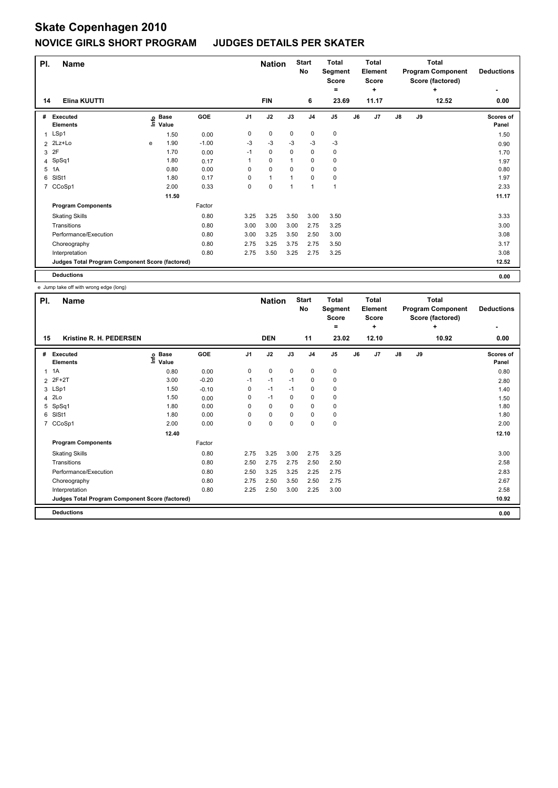| PI. | <b>Name</b>                                     |   |                                  |            |                | <b>Nation</b> |      | <b>Start</b><br>No | <b>Total</b><br>Segment<br><b>Score</b> |    | <b>Total</b><br>Element<br><b>Score</b> |               |    | <b>Total</b><br><b>Program Component</b><br>Score (factored) | <b>Deductions</b>  |
|-----|-------------------------------------------------|---|----------------------------------|------------|----------------|---------------|------|--------------------|-----------------------------------------|----|-----------------------------------------|---------------|----|--------------------------------------------------------------|--------------------|
| 14  | Elina KUUTTI                                    |   |                                  |            |                | <b>FIN</b>    |      | 6                  | ۰<br>23.69                              |    | ٠<br>11.17                              |               |    | ÷<br>12.52                                                   | 0.00               |
| #   | Executed<br><b>Elements</b>                     |   | <b>Base</b><br>e Base<br>⊆ Value | <b>GOE</b> | J <sub>1</sub> | J2            | J3   | J <sub>4</sub>     | J <sub>5</sub>                          | J6 | J7                                      | $\mathsf{J}8$ | J9 |                                                              | Scores of<br>Panel |
| 1   | LSp1                                            |   | 1.50                             | 0.00       | 0              | $\mathbf 0$   | 0    | 0                  | 0                                       |    |                                         |               |    |                                                              | 1.50               |
|     | $2$ $2$ $Lz+Lo$                                 | e | 1.90                             | $-1.00$    | -3             | $-3$          | $-3$ | $-3$               | $-3$                                    |    |                                         |               |    |                                                              | 0.90               |
| 3   | 2F                                              |   | 1.70                             | 0.00       | $-1$           | 0             | 0    | 0                  | 0                                       |    |                                         |               |    |                                                              | 1.70               |
|     | 4 SpSq1                                         |   | 1.80                             | 0.17       | 1              | $\mathbf 0$   | 1    | 0                  | $\pmb{0}$                               |    |                                         |               |    |                                                              | 1.97               |
| 5   | 1A                                              |   | 0.80                             | 0.00       | 0              | $\mathbf 0$   | 0    | 0                  | 0                                       |    |                                         |               |    |                                                              | 0.80               |
| 6   | SISt1                                           |   | 1.80                             | 0.17       | 0              | $\mathbf{1}$  |      | 0                  | 0                                       |    |                                         |               |    |                                                              | 1.97               |
|     | 7 CCoSp1                                        |   | 2.00                             | 0.33       | 0              | $\pmb{0}$     | 1    | $\overline{1}$     | 1                                       |    |                                         |               |    |                                                              | 2.33               |
|     |                                                 |   | 11.50                            |            |                |               |      |                    |                                         |    |                                         |               |    |                                                              | 11.17              |
|     | <b>Program Components</b>                       |   |                                  | Factor     |                |               |      |                    |                                         |    |                                         |               |    |                                                              |                    |
|     | <b>Skating Skills</b>                           |   |                                  | 0.80       | 3.25           | 3.25          | 3.50 | 3.00               | 3.50                                    |    |                                         |               |    |                                                              | 3.33               |
|     | Transitions                                     |   |                                  | 0.80       | 3.00           | 3.00          | 3.00 | 2.75               | 3.25                                    |    |                                         |               |    |                                                              | 3.00               |
|     | Performance/Execution                           |   |                                  | 0.80       | 3.00           | 3.25          | 3.50 | 2.50               | 3.00                                    |    |                                         |               |    |                                                              | 3.08               |
|     | Choreography                                    |   |                                  | 0.80       | 2.75           | 3.25          | 3.75 | 2.75               | 3.50                                    |    |                                         |               |    |                                                              | 3.17               |
|     | Interpretation                                  |   |                                  | 0.80       | 2.75           | 3.50          | 3.25 | 2.75               | 3.25                                    |    |                                         |               |    |                                                              | 3.08               |
|     | Judges Total Program Component Score (factored) |   |                                  |            |                |               |      |                    |                                         |    |                                         |               |    |                                                              | 12.52              |
|     | <b>Deductions</b>                               |   |                                  |            |                |               |      |                    |                                         |    |                                         |               |    |                                                              | 0.00               |

e Jump take off with wrong edge (long)

| PI.          | <b>Name</b>                                     |                                  |         |                | <b>Nation</b> |             | <b>Start</b><br>No | <b>Total</b><br>Segment<br><b>Score</b><br>۰ |    | <b>Total</b><br>Element<br>Score<br>÷ |               |    | <b>Total</b><br><b>Program Component</b><br>Score (factored)<br>÷ | <b>Deductions</b>  |
|--------------|-------------------------------------------------|----------------------------------|---------|----------------|---------------|-------------|--------------------|----------------------------------------------|----|---------------------------------------|---------------|----|-------------------------------------------------------------------|--------------------|
| 15           | Kristine R. H. PEDERSEN                         |                                  |         |                | <b>DEN</b>    |             | 11                 | 23.02                                        |    | 12.10                                 |               |    | 10.92                                                             | 0.00               |
| #            | Executed<br><b>Elements</b>                     | <b>Base</b><br>e Base<br>⊆ Value | GOE     | J <sub>1</sub> | J2            | J3          | J <sub>4</sub>     | J <sub>5</sub>                               | J6 | J7                                    | $\mathsf{J}8$ | J9 |                                                                   | Scores of<br>Panel |
| $\mathbf{1}$ | 1A                                              | 0.80                             | 0.00    | 0              | $\mathbf 0$   | $\mathbf 0$ | $\mathbf 0$        | $\mathbf 0$                                  |    |                                       |               |    |                                                                   | 0.80               |
|              | 2 2F+2T                                         | 3.00                             | $-0.20$ | $-1$           | $-1$          | $-1$        | 0                  | $\mathbf 0$                                  |    |                                       |               |    |                                                                   | 2.80               |
|              | 3 LSp1                                          | 1.50                             | $-0.10$ | 0              | $-1$          | $-1$        | 0                  | 0                                            |    |                                       |               |    |                                                                   | 1.40               |
| 4            | 2Lo                                             | 1.50                             | 0.00    | 0              | $-1$          | 0           | 0                  | 0                                            |    |                                       |               |    |                                                                   | 1.50               |
|              | 5 SpSq1                                         | 1.80                             | 0.00    | 0              | $\mathbf{0}$  | $\Omega$    | $\Omega$           | 0                                            |    |                                       |               |    |                                                                   | 1.80               |
| 6            | SISt1                                           | 1.80                             | 0.00    | 0              | $\mathbf 0$   | 0           | 0                  | 0                                            |    |                                       |               |    |                                                                   | 1.80               |
| 7            | CCoSp1                                          | 2.00                             | 0.00    | 0              | 0             | 0           | 0                  | $\mathbf 0$                                  |    |                                       |               |    |                                                                   | 2.00               |
|              |                                                 | 12.40                            |         |                |               |             |                    |                                              |    |                                       |               |    |                                                                   | 12.10              |
|              | <b>Program Components</b>                       |                                  | Factor  |                |               |             |                    |                                              |    |                                       |               |    |                                                                   |                    |
|              | <b>Skating Skills</b>                           |                                  | 0.80    | 2.75           | 3.25          | 3.00        | 2.75               | 3.25                                         |    |                                       |               |    |                                                                   | 3.00               |
|              | Transitions                                     |                                  | 0.80    | 2.50           | 2.75          | 2.75        | 2.50               | 2.50                                         |    |                                       |               |    |                                                                   | 2.58               |
|              | Performance/Execution                           |                                  | 0.80    | 2.50           | 3.25          | 3.25        | 2.25               | 2.75                                         |    |                                       |               |    |                                                                   | 2.83               |
|              | Choreography                                    |                                  | 0.80    | 2.75           | 2.50          | 3.50        | 2.50               | 2.75                                         |    |                                       |               |    |                                                                   | 2.67               |
|              | Interpretation                                  |                                  | 0.80    | 2.25           | 2.50          | 3.00        | 2.25               | 3.00                                         |    |                                       |               |    |                                                                   | 2.58               |
|              | Judges Total Program Component Score (factored) |                                  |         |                |               |             |                    |                                              |    |                                       |               |    |                                                                   | 10.92              |
|              | <b>Deductions</b>                               |                                  |         |                |               |             |                    |                                              |    |                                       |               |    |                                                                   | 0.00               |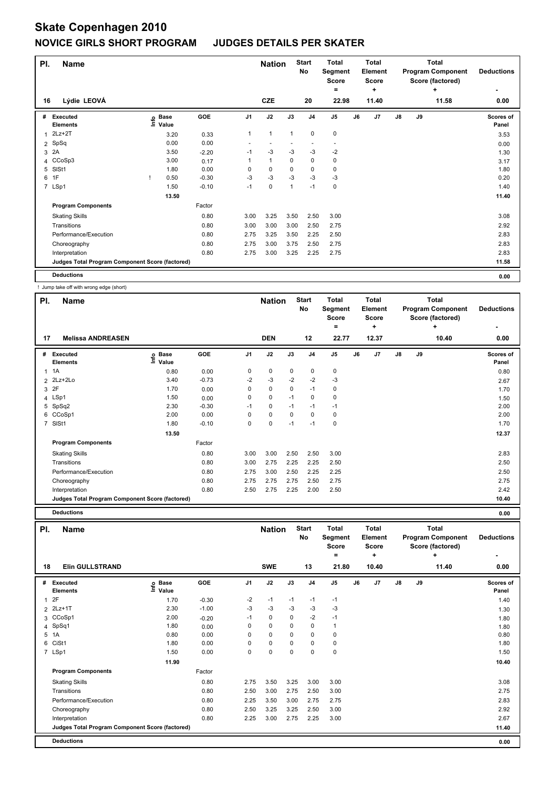| PI.            | <b>Name</b>                                     |      |                      |         |                | <b>Nation</b>            |              | <b>Start</b><br>No | <b>Total</b><br>Segment<br>Score |    | <b>Total</b><br><b>Element</b><br><b>Score</b> |               |    | <b>Total</b><br><b>Program Component</b><br>Score (factored) | <b>Deductions</b>  |
|----------------|-------------------------------------------------|------|----------------------|---------|----------------|--------------------------|--------------|--------------------|----------------------------------|----|------------------------------------------------|---------------|----|--------------------------------------------------------------|--------------------|
| 16             | Lýdie LEOVÁ                                     |      |                      |         |                | <b>CZE</b>               |              | 20                 | ٠<br>22.98                       |    | ÷<br>11.40                                     |               |    | ÷<br>11.58                                                   | 0.00               |
| #              | Executed<br><b>Elements</b>                     | lnfo | <b>Base</b><br>Value | GOE     | J <sub>1</sub> | J2                       | J3           | J <sub>4</sub>     | J <sub>5</sub>                   | J6 | J7                                             | $\mathsf{J}8$ | J9 |                                                              | Scores of<br>Panel |
| 1              | $2Lz+2T$                                        |      | 3.20                 | 0.33    | 1              | $\mathbf{1}$             | $\mathbf{1}$ | $\mathbf 0$        | $\mathbf 0$                      |    |                                                |               |    |                                                              | 3.53               |
| $\overline{2}$ | SpSq                                            |      | 0.00                 | 0.00    |                | $\overline{\phantom{a}}$ |              |                    | $\overline{\phantom{a}}$         |    |                                                |               |    |                                                              | 0.00               |
| 3              | 2A                                              |      | 3.50                 | $-2.20$ | $-1$           | $-3$                     | $-3$         | $-3$               | -2                               |    |                                                |               |    |                                                              | 1.30               |
|                | 4 CCoSp3                                        |      | 3.00                 | 0.17    | 1              | $\mathbf{1}$             | 0            | 0                  | 0                                |    |                                                |               |    |                                                              | 3.17               |
| 5              | SISt1                                           |      | 1.80                 | 0.00    | 0              | 0                        | $\Omega$     | 0                  | 0                                |    |                                                |               |    |                                                              | 1.80               |
| 6              | 1F                                              |      | 0.50                 | $-0.30$ | $-3$           | $-3$                     | $-3$         | $-3$               | $-3$                             |    |                                                |               |    |                                                              | 0.20               |
|                | 7 LSp1                                          |      | 1.50                 | $-0.10$ | $-1$           | $\mathbf 0$              | 1            | $-1$               | $\mathbf 0$                      |    |                                                |               |    |                                                              | 1.40               |
|                |                                                 |      | 13.50                |         |                |                          |              |                    |                                  |    |                                                |               |    |                                                              | 11.40              |
|                | <b>Program Components</b>                       |      |                      | Factor  |                |                          |              |                    |                                  |    |                                                |               |    |                                                              |                    |
|                | <b>Skating Skills</b>                           |      |                      | 0.80    | 3.00           | 3.25                     | 3.50         | 2.50               | 3.00                             |    |                                                |               |    |                                                              | 3.08               |
|                | Transitions                                     |      |                      | 0.80    | 3.00           | 3.00                     | 3.00         | 2.50               | 2.75                             |    |                                                |               |    |                                                              | 2.92               |
|                | Performance/Execution                           |      |                      | 0.80    | 2.75           | 3.25                     | 3.50         | 2.25               | 2.50                             |    |                                                |               |    |                                                              | 2.83               |
|                | Choreography                                    |      |                      | 0.80    | 2.75           | 3.00                     | 3.75         | 2.50               | 2.75                             |    |                                                |               |    |                                                              | 2.83               |
|                | Interpretation                                  |      |                      | 0.80    | 2.75           | 3.00                     | 3.25         | 2.25               | 2.75                             |    |                                                |               |    |                                                              | 2.83               |
|                | Judges Total Program Component Score (factored) |      |                      |         |                |                          |              |                    |                                  |    |                                                |               |    |                                                              | 11.58              |
|                | <b>Deductions</b>                               |      |                      |         |                |                          |              |                    |                                  |    |                                                |               |    |                                                              | 0.00               |

! Jump take off with wrong edge (short)

| PI.            | <b>Name</b>                                     |                              |         |                | <b>Nation</b> |             | <b>Start</b><br>No | <b>Total</b><br>Segment<br><b>Score</b><br>۰ |    | <b>Total</b><br>Element<br><b>Score</b><br>÷ |               |    | <b>Total</b><br><b>Program Component</b><br>Score (factored)<br>٠ | <b>Deductions</b>  |
|----------------|-------------------------------------------------|------------------------------|---------|----------------|---------------|-------------|--------------------|----------------------------------------------|----|----------------------------------------------|---------------|----|-------------------------------------------------------------------|--------------------|
| 17             | <b>Melissa ANDREASEN</b>                        |                              |         |                | <b>DEN</b>    |             | 12                 | 22.77                                        |    | 12.37                                        |               |    | 10.40                                                             | 0.00               |
| #              | Executed<br><b>Elements</b>                     | <b>Base</b><br>lnfo<br>Value | GOE     | J <sub>1</sub> | J2            | J3          | J <sub>4</sub>     | J <sub>5</sub>                               | J6 | J7                                           | $\mathsf{J}8$ | J9 |                                                                   | Scores of<br>Panel |
| 1              | 1A                                              | 0.80                         | 0.00    | 0              | 0             | $\mathbf 0$ | 0                  | $\mathbf 0$                                  |    |                                              |               |    |                                                                   | 0.80               |
| $\overline{2}$ | 2Lz+2Lo                                         | 3.40                         | $-0.73$ | $-2$           | $-3$          | $-2$        | $-2$               | $-3$                                         |    |                                              |               |    |                                                                   | 2.67               |
| 3              | 2F                                              | 1.70                         | 0.00    | 0              | $\mathbf 0$   | 0           | $-1$               | 0                                            |    |                                              |               |    |                                                                   | 1.70               |
|                | 4 LSp1                                          | 1.50                         | 0.00    | 0              | 0             | $-1$        | 0                  | $\mathbf 0$                                  |    |                                              |               |    |                                                                   | 1.50               |
|                | 5 SpSq2                                         | 2.30                         | $-0.30$ | $-1$           | $\mathbf 0$   | $-1$        | $-1$               | $-1$                                         |    |                                              |               |    |                                                                   | 2.00               |
|                | 6 CCoSp1                                        | 2.00                         | 0.00    | 0              | $\mathbf 0$   | $\Omega$    | 0                  | 0                                            |    |                                              |               |    |                                                                   | 2.00               |
| $\overline{7}$ | SISt1                                           | 1.80                         | $-0.10$ | 0              | 0             | $-1$        | $-1$               | $\mathbf 0$                                  |    |                                              |               |    |                                                                   | 1.70               |
|                |                                                 | 13.50                        |         |                |               |             |                    |                                              |    |                                              |               |    |                                                                   | 12.37              |
|                | <b>Program Components</b>                       |                              | Factor  |                |               |             |                    |                                              |    |                                              |               |    |                                                                   |                    |
|                | <b>Skating Skills</b>                           |                              | 0.80    | 3.00           | 3.00          | 2.50        | 2.50               | 3.00                                         |    |                                              |               |    |                                                                   | 2.83               |
|                | Transitions                                     |                              | 0.80    | 3.00           | 2.75          | 2.25        | 2.25               | 2.50                                         |    |                                              |               |    |                                                                   | 2.50               |
|                | Performance/Execution                           |                              | 0.80    | 2.75           | 3.00          | 2.50        | 2.25               | 2.25                                         |    |                                              |               |    |                                                                   | 2.50               |
|                | Choreography                                    |                              | 0.80    | 2.75           | 2.75          | 2.75        | 2.50               | 2.75                                         |    |                                              |               |    |                                                                   | 2.75               |
|                | Interpretation                                  |                              | 0.80    | 2.50           | 2.75          | 2.25        | 2.00               | 2.50                                         |    |                                              |               |    |                                                                   | 2.42               |
|                | Judges Total Program Component Score (factored) |                              |         |                |               |             |                    |                                              |    |                                              |               |    |                                                                   | 10.40              |
|                | <b>Deductions</b>                               |                              |         |                |               |             |                    |                                              |    |                                              |               |    |                                                                   | 0.00               |

| PI. | <b>Name</b>                                     |                              |         |                | <b>Nation</b> |      | <b>Start</b><br>No | <b>Total</b><br>Segment<br><b>Score</b><br>$\equiv$ |    | Total<br><b>Element</b><br><b>Score</b><br>٠ |               |    | <b>Total</b><br><b>Program Component</b><br>Score (factored)<br>٠ | <b>Deductions</b>         |
|-----|-------------------------------------------------|------------------------------|---------|----------------|---------------|------|--------------------|-----------------------------------------------------|----|----------------------------------------------|---------------|----|-------------------------------------------------------------------|---------------------------|
| 18  | <b>Elin GULLSTRAND</b>                          |                              |         |                | <b>SWE</b>    |      | 13                 | 21.80                                               |    | 10.40                                        |               |    | 11.40                                                             | 0.00                      |
| #   | Executed<br><b>Elements</b>                     | <b>Base</b><br>lnfo<br>Value | GOE     | J <sub>1</sub> | J2            | J3   | J <sub>4</sub>     | J <sub>5</sub>                                      | J6 | J7                                           | $\mathsf{J}8$ | J9 |                                                                   | <b>Scores of</b><br>Panel |
|     | 12F                                             | 1.70                         | $-0.30$ | $-2$           | $-1$          | $-1$ | $-1$               | $-1$                                                |    |                                              |               |    |                                                                   | 1.40                      |
|     | 2 2Lz+1T                                        | 2.30                         | $-1.00$ | $-3$           | $-3$          | $-3$ | $-3$               | $-3$                                                |    |                                              |               |    |                                                                   | 1.30                      |
|     | 3 CCoSp1                                        | 2.00                         | $-0.20$ | $-1$           | $\mathbf 0$   | 0    | $-2$               | $-1$                                                |    |                                              |               |    |                                                                   | 1.80                      |
|     | 4 SpSq1                                         | 1.80                         | 0.00    | 0              | $\mathbf 0$   | 0    | 0                  | 1                                                   |    |                                              |               |    |                                                                   | 1.80                      |
|     | 5 1A                                            | 0.80                         | 0.00    | 0              | $\mathbf 0$   | 0    | 0                  | 0                                                   |    |                                              |               |    |                                                                   | 0.80                      |
| 6   | CiSt1                                           | 1.80                         | 0.00    | 0              | $\pmb{0}$     | 0    | 0                  | 0                                                   |    |                                              |               |    |                                                                   | 1.80                      |
|     | 7 LSp1                                          | 1.50                         | 0.00    | 0              | $\mathbf 0$   | 0    | 0                  | $\pmb{0}$                                           |    |                                              |               |    |                                                                   | 1.50                      |
|     |                                                 | 11.90                        |         |                |               |      |                    |                                                     |    |                                              |               |    |                                                                   | 10.40                     |
|     | <b>Program Components</b>                       |                              | Factor  |                |               |      |                    |                                                     |    |                                              |               |    |                                                                   |                           |
|     | <b>Skating Skills</b>                           |                              | 0.80    | 2.75           | 3.50          | 3.25 | 3.00               | 3.00                                                |    |                                              |               |    |                                                                   | 3.08                      |
|     | Transitions                                     |                              | 0.80    | 2.50           | 3.00          | 2.75 | 2.50               | 3.00                                                |    |                                              |               |    |                                                                   | 2.75                      |
|     | Performance/Execution                           |                              | 0.80    | 2.25           | 3.50          | 3.00 | 2.75               | 2.75                                                |    |                                              |               |    |                                                                   | 2.83                      |
|     | Choreography                                    |                              | 0.80    | 2.50           | 3.25          | 3.25 | 2.50               | 3.00                                                |    |                                              |               |    |                                                                   | 2.92                      |
|     | Interpretation                                  |                              | 0.80    | 2.25           | 3.00          | 2.75 | 2.25               | 3.00                                                |    |                                              |               |    |                                                                   | 2.67                      |
|     | Judges Total Program Component Score (factored) |                              |         |                |               |      |                    |                                                     |    |                                              |               |    |                                                                   | 11.40                     |
|     | <b>Deductions</b>                               |                              |         |                |               |      |                    |                                                     |    |                                              |               |    |                                                                   | 0.00                      |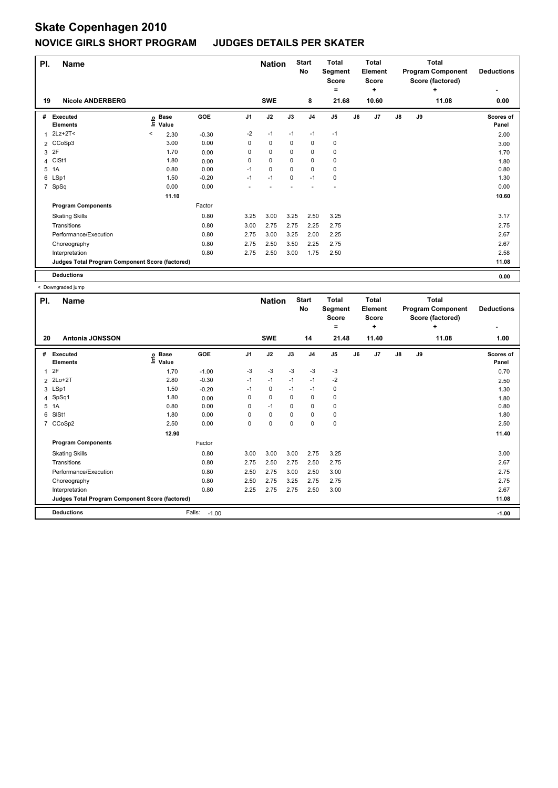| PI. | <b>Name</b>                                     |      |                      |         |                | <b>Nation</b> |      | <b>Start</b><br>No | <b>Total</b><br>Segment<br><b>Score</b><br>۰ |    | <b>Total</b><br>Element<br><b>Score</b><br>٠ |               |    | <b>Total</b><br><b>Program Component</b><br>Score (factored)<br>÷ | <b>Deductions</b>  |
|-----|-------------------------------------------------|------|----------------------|---------|----------------|---------------|------|--------------------|----------------------------------------------|----|----------------------------------------------|---------------|----|-------------------------------------------------------------------|--------------------|
| 19  | <b>Nicole ANDERBERG</b>                         |      |                      |         |                | <b>SWE</b>    |      | 8                  | 21.68                                        |    | 10.60                                        |               |    | 11.08                                                             | 0.00               |
| #   | Executed<br><b>Elements</b>                     | ١nfo | <b>Base</b><br>Value | GOE     | J <sub>1</sub> | J2            | J3   | J <sub>4</sub>     | J <sub>5</sub>                               | J6 | J7                                           | $\mathsf{J}8$ | J9 |                                                                   | Scores of<br>Panel |
| 1   | 2Lz+2T<                                         | <    | 2.30                 | $-0.30$ | $-2$           | $-1$          | $-1$ | $-1$               | $-1$                                         |    |                                              |               |    |                                                                   | 2.00               |
|     | 2 CCoSp3                                        |      | 3.00                 | 0.00    | 0              | $\mathbf 0$   | 0    | 0                  | $\mathbf 0$                                  |    |                                              |               |    |                                                                   | 3.00               |
| 3   | 2F                                              |      | 1.70                 | 0.00    | 0              | 0             | 0    | 0                  | 0                                            |    |                                              |               |    |                                                                   | 1.70               |
| 4   | CiSt1                                           |      | 1.80                 | 0.00    | 0              | $\mathbf 0$   | 0    | 0                  | 0                                            |    |                                              |               |    |                                                                   | 1.80               |
| 5   | 1A                                              |      | 0.80                 | 0.00    | $-1$           | 0             | 0    | 0                  | 0                                            |    |                                              |               |    |                                                                   | 0.80               |
|     | 6 LSp1                                          |      | 1.50                 | $-0.20$ | $-1$           | $-1$          | 0    | $-1$               | 0                                            |    |                                              |               |    |                                                                   | 1.30               |
| 7   | SpSq                                            |      | 0.00                 | 0.00    |                |               |      |                    |                                              |    |                                              |               |    |                                                                   | 0.00               |
|     |                                                 |      | 11.10                |         |                |               |      |                    |                                              |    |                                              |               |    |                                                                   | 10.60              |
|     | <b>Program Components</b>                       |      |                      | Factor  |                |               |      |                    |                                              |    |                                              |               |    |                                                                   |                    |
|     | <b>Skating Skills</b>                           |      |                      | 0.80    | 3.25           | 3.00          | 3.25 | 2.50               | 3.25                                         |    |                                              |               |    |                                                                   | 3.17               |
|     | Transitions                                     |      |                      | 0.80    | 3.00           | 2.75          | 2.75 | 2.25               | 2.75                                         |    |                                              |               |    |                                                                   | 2.75               |
|     | Performance/Execution                           |      |                      | 0.80    | 2.75           | 3.00          | 3.25 | 2.00               | 2.25                                         |    |                                              |               |    |                                                                   | 2.67               |
|     | Choreography                                    |      |                      | 0.80    | 2.75           | 2.50          | 3.50 | 2.25               | 2.75                                         |    |                                              |               |    |                                                                   | 2.67               |
|     | Interpretation                                  |      |                      | 0.80    | 2.75           | 2.50          | 3.00 | 1.75               | 2.50                                         |    |                                              |               |    |                                                                   | 2.58               |
|     | Judges Total Program Component Score (factored) |      |                      |         |                |               |      |                    |                                              |    |                                              |               |    |                                                                   | 11.08              |
|     | <b>Deductions</b>                               |      |                      |         |                |               |      |                    |                                              |    |                                              |               |    |                                                                   | 0.00               |

< Downgraded jump

| PI.            | <b>Name</b>                                     |                              |                   |                | <b>Nation</b> |          | <b>Start</b><br>No | <b>Total</b><br>Segment<br><b>Score</b><br>۰ |    | <b>Total</b><br>Element<br><b>Score</b><br>٠ |               |    | <b>Total</b><br><b>Program Component</b><br>Score (factored)<br>÷ | <b>Deductions</b>  |
|----------------|-------------------------------------------------|------------------------------|-------------------|----------------|---------------|----------|--------------------|----------------------------------------------|----|----------------------------------------------|---------------|----|-------------------------------------------------------------------|--------------------|
| 20             | <b>Antonia JONSSON</b>                          |                              |                   |                | <b>SWE</b>    |          | 14                 | 21.48                                        |    | 11.40                                        |               |    | 11.08                                                             | 1.00               |
| #              | Executed<br><b>Elements</b>                     | <b>Base</b><br>lnfo<br>Value | GOE               | J <sub>1</sub> | J2            | J3       | J <sub>4</sub>     | J <sub>5</sub>                               | J6 | J7                                           | $\mathsf{J}8$ | J9 |                                                                   | Scores of<br>Panel |
| $\mathbf{1}$   | 2F                                              | 1.70                         | $-1.00$           | $-3$           | $-3$          | $-3$     | $-3$               | -3                                           |    |                                              |               |    |                                                                   | 0.70               |
| $\overline{2}$ | $2Lo+2T$                                        | 2.80                         | $-0.30$           | $-1$           | $-1$          | $-1$     | $-1$               | $-2$                                         |    |                                              |               |    |                                                                   | 2.50               |
|                | 3 LSp1                                          | 1.50                         | $-0.20$           | $-1$           | 0             | $-1$     | $-1$               | 0                                            |    |                                              |               |    |                                                                   | 1.30               |
| $\overline{4}$ | SpSq1                                           | 1.80                         | 0.00              | 0              | $\mathbf 0$   | $\Omega$ | 0                  | 0                                            |    |                                              |               |    |                                                                   | 1.80               |
| 5              | 1A                                              | 0.80                         | 0.00              | 0              | $-1$          | 0        | $\Omega$           | 0                                            |    |                                              |               |    |                                                                   | 0.80               |
| 6              | SISt1                                           | 1.80                         | 0.00              | 0              | $\pmb{0}$     | 0        | 0                  | $\pmb{0}$                                    |    |                                              |               |    |                                                                   | 1.80               |
| $\overline{7}$ | CCoSp2                                          | 2.50                         | 0.00              | 0              | 0             | 0        | 0                  | $\pmb{0}$                                    |    |                                              |               |    |                                                                   | 2.50               |
|                |                                                 | 12.90                        |                   |                |               |          |                    |                                              |    |                                              |               |    |                                                                   | 11.40              |
|                | <b>Program Components</b>                       |                              | Factor            |                |               |          |                    |                                              |    |                                              |               |    |                                                                   |                    |
|                | <b>Skating Skills</b>                           |                              | 0.80              | 3.00           | 3.00          | 3.00     | 2.75               | 3.25                                         |    |                                              |               |    |                                                                   | 3.00               |
|                | Transitions                                     |                              | 0.80              | 2.75           | 2.50          | 2.75     | 2.50               | 2.75                                         |    |                                              |               |    |                                                                   | 2.67               |
|                | Performance/Execution                           |                              | 0.80              | 2.50           | 2.75          | 3.00     | 2.50               | 3.00                                         |    |                                              |               |    |                                                                   | 2.75               |
|                | Choreography                                    |                              | 0.80              | 2.50           | 2.75          | 3.25     | 2.75               | 2.75                                         |    |                                              |               |    |                                                                   | 2.75               |
|                | Interpretation                                  |                              | 0.80              | 2.25           | 2.75          | 2.75     | 2.50               | 3.00                                         |    |                                              |               |    |                                                                   | 2.67               |
|                | Judges Total Program Component Score (factored) |                              |                   |                |               |          |                    |                                              |    |                                              |               |    |                                                                   | 11.08              |
|                | <b>Deductions</b>                               |                              | Falls:<br>$-1.00$ |                |               |          |                    |                                              |    |                                              |               |    |                                                                   | $-1.00$            |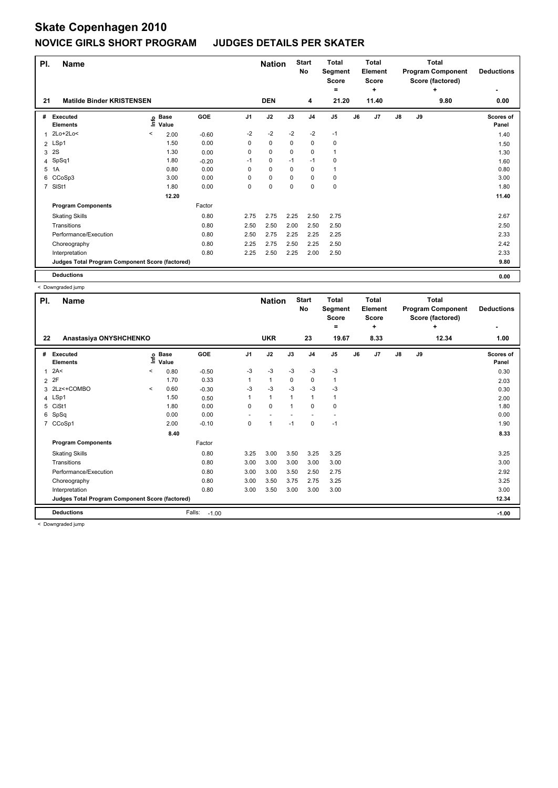| PI.            | <b>Name</b>                                     |         |                                  |         |                | <b>Nation</b> |      | <b>Start</b><br>No | <b>Total</b><br>Segment<br><b>Score</b><br>$=$ |    | <b>Total</b><br>Element<br><b>Score</b><br>÷ |               |    | <b>Total</b><br><b>Program Component</b><br>Score (factored)<br>÷ | <b>Deductions</b>  |
|----------------|-------------------------------------------------|---------|----------------------------------|---------|----------------|---------------|------|--------------------|------------------------------------------------|----|----------------------------------------------|---------------|----|-------------------------------------------------------------------|--------------------|
| 21             | <b>Matilde Binder KRISTENSEN</b>                |         |                                  |         |                | <b>DEN</b>    |      | 4                  | 21.20                                          |    | 11.40                                        |               |    | 9.80                                                              | 0.00               |
| #              | Executed<br><b>Elements</b>                     |         | <b>Base</b><br>e Base<br>⊆ Value | GOE     | J <sub>1</sub> | J2            | J3   | J4                 | J5                                             | J6 | J7                                           | $\mathsf{J}8$ | J9 |                                                                   | Scores of<br>Panel |
|                | 2Lo+2Lo<                                        | $\,<\,$ | 2.00                             | $-0.60$ | $-2$           | $-2$          | $-2$ | $-2$               | $-1$                                           |    |                                              |               |    |                                                                   | 1.40               |
|                | 2 LSp1                                          |         | 1.50                             | 0.00    | 0              | 0             | 0    | 0                  | $\mathbf 0$                                    |    |                                              |               |    |                                                                   | 1.50               |
| 3              | 2S                                              |         | 1.30                             | 0.00    | 0              | 0             | 0    | 0                  | $\mathbf{1}$                                   |    |                                              |               |    |                                                                   | 1.30               |
|                | 4 SpSq1                                         |         | 1.80                             | $-0.20$ | $-1$           | 0             | $-1$ | $-1$               | 0                                              |    |                                              |               |    |                                                                   | 1.60               |
| 5              | 1A                                              |         | 0.80                             | 0.00    | 0              | 0             | 0    | 0                  | $\mathbf{1}$                                   |    |                                              |               |    |                                                                   | 0.80               |
|                | 6 CCoSp3                                        |         | 3.00                             | 0.00    | 0              | 0             | 0    | 0                  | 0                                              |    |                                              |               |    |                                                                   | 3.00               |
| $\overline{7}$ | SISt1                                           |         | 1.80                             | 0.00    | 0              | 0             | 0    | 0                  | $\mathbf 0$                                    |    |                                              |               |    |                                                                   | 1.80               |
|                |                                                 |         | 12.20                            |         |                |               |      |                    |                                                |    |                                              |               |    |                                                                   | 11.40              |
|                | <b>Program Components</b>                       |         |                                  | Factor  |                |               |      |                    |                                                |    |                                              |               |    |                                                                   |                    |
|                | <b>Skating Skills</b>                           |         |                                  | 0.80    | 2.75           | 2.75          | 2.25 | 2.50               | 2.75                                           |    |                                              |               |    |                                                                   | 2.67               |
|                | Transitions                                     |         |                                  | 0.80    | 2.50           | 2.50          | 2.00 | 2.50               | 2.50                                           |    |                                              |               |    |                                                                   | 2.50               |
|                | Performance/Execution                           |         |                                  | 0.80    | 2.50           | 2.75          | 2.25 | 2.25               | 2.25                                           |    |                                              |               |    |                                                                   | 2.33               |
|                | Choreography                                    |         |                                  | 0.80    | 2.25           | 2.75          | 2.50 | 2.25               | 2.50                                           |    |                                              |               |    |                                                                   | 2.42               |
|                | Interpretation                                  |         |                                  | 0.80    | 2.25           | 2.50          | 2.25 | 2.00               | 2.50                                           |    |                                              |               |    |                                                                   | 2.33               |
|                | Judges Total Program Component Score (factored) |         |                                  |         |                |               |      |                    |                                                |    |                                              |               |    |                                                                   | 9.80               |
|                | <b>Deductions</b>                               |         |                                  |         |                |               |      |                    |                                                |    |                                              |               |    |                                                                   | 0.00               |

< Downgraded jump

| PI.            | <b>Name</b>                                     |          |                            |                   |                | <b>Nation</b> |              | <b>Start</b><br>No | <b>Total</b><br>Segment<br><b>Score</b><br>$=$ |    | <b>Total</b><br>Element<br><b>Score</b><br>٠ |               |    | <b>Total</b><br><b>Program Component</b><br>Score (factored)<br>÷ | <b>Deductions</b>  |
|----------------|-------------------------------------------------|----------|----------------------------|-------------------|----------------|---------------|--------------|--------------------|------------------------------------------------|----|----------------------------------------------|---------------|----|-------------------------------------------------------------------|--------------------|
| 22             | Anastasiya ONYSHCHENKO                          |          |                            |                   |                | <b>UKR</b>    |              | 23                 | 19.67                                          |    | 8.33                                         |               |    | 12.34                                                             | 1.00               |
| #              | Executed<br><b>Elements</b>                     |          | e Base<br>E Value<br>Value | GOE               | J <sub>1</sub> | J2            | J3           | J <sub>4</sub>     | J <sub>5</sub>                                 | J6 | J7                                           | $\mathsf{J}8$ | J9 |                                                                   | Scores of<br>Panel |
|                | 2A<                                             | $\,<\,$  | 0.80                       | $-0.50$           | $-3$           | $-3$          | $-3$         | $-3$               | $-3$                                           |    |                                              |               |    |                                                                   | 0.30               |
| $\overline{2}$ | 2F                                              |          | 1.70                       | 0.33              | 1              | $\mathbf{1}$  | 0            | 0                  | $\mathbf{1}$                                   |    |                                              |               |    |                                                                   | 2.03               |
|                | 3 2Lz<+COMBO                                    | $\hat{}$ | 0.60                       | $-0.30$           | -3             | $-3$          | $-3$         | $-3$               | -3                                             |    |                                              |               |    |                                                                   | 0.30               |
|                | 4 LSp1                                          |          | 1.50                       | 0.50              | 1              | $\mathbf{1}$  | $\mathbf{1}$ | 1                  | $\overline{1}$                                 |    |                                              |               |    |                                                                   | 2.00               |
|                | 5 CiSt1                                         |          | 1.80                       | 0.00              | $\Omega$       | $\mathbf 0$   | $\mathbf{1}$ | $\Omega$           | $\mathbf 0$                                    |    |                                              |               |    |                                                                   | 1.80               |
|                | 6 SpSq                                          |          | 0.00                       | 0.00              |                |               |              |                    |                                                |    |                                              |               |    |                                                                   | 0.00               |
|                | 7 CCoSp1                                        |          | 2.00                       | $-0.10$           | 0              | $\mathbf{1}$  | $-1$         | 0                  | $-1$                                           |    |                                              |               |    |                                                                   | 1.90               |
|                |                                                 |          | 8.40                       |                   |                |               |              |                    |                                                |    |                                              |               |    |                                                                   | 8.33               |
|                | <b>Program Components</b>                       |          |                            | Factor            |                |               |              |                    |                                                |    |                                              |               |    |                                                                   |                    |
|                | <b>Skating Skills</b>                           |          |                            | 0.80              | 3.25           | 3.00          | 3.50         | 3.25               | 3.25                                           |    |                                              |               |    |                                                                   | 3.25               |
|                | Transitions                                     |          |                            | 0.80              | 3.00           | 3.00          | 3.00         | 3.00               | 3.00                                           |    |                                              |               |    |                                                                   | 3.00               |
|                | Performance/Execution                           |          |                            | 0.80              | 3.00           | 3.00          | 3.50         | 2.50               | 2.75                                           |    |                                              |               |    |                                                                   | 2.92               |
|                | Choreography                                    |          |                            | 0.80              | 3.00           | 3.50          | 3.75         | 2.75               | 3.25                                           |    |                                              |               |    |                                                                   | 3.25               |
|                | Interpretation                                  |          |                            | 0.80              | 3.00           | 3.50          | 3.00         | 3.00               | 3.00                                           |    |                                              |               |    |                                                                   | 3.00               |
|                | Judges Total Program Component Score (factored) |          |                            |                   |                |               |              |                    |                                                |    |                                              |               |    |                                                                   | 12.34              |
|                | <b>Deductions</b>                               |          |                            | Falls:<br>$-1.00$ |                |               |              |                    |                                                |    |                                              |               |    |                                                                   | $-1.00$            |

< Downgraded jump